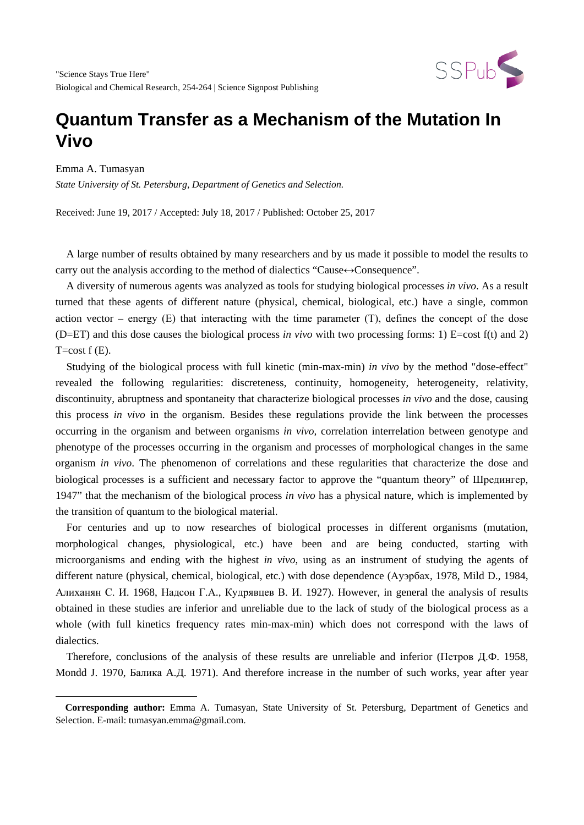

Emma A. Tumasyan

 $\overline{\phantom{a}}$ 

*State University of St. Petersburg, Department of Genetics and Selection.*

Received: June 19, 2017 / Accepted: July 18, 2017 / Published: October 25, 2017

A large number of results obtained by many researchers and by us made it possible to model the results to carry out the analysis according to the method of dialectics "Cause↔Consequence".

A diversity of numerous agents was analyzed as tools for studying biological processes *in vivo*. As a result turned that these agents of different nature (physical, chemical, biological, etc.) have a single, common action vector – energy  $(E)$  that interacting with the time parameter  $(T)$ , defines the concept of the dose (D=ET) and this dose causes the biological process *in vivo* with two processing forms: 1) E=cost  $f(t)$  and 2)  $T = cost f(E)$ .

Studying of the biological process with full kinetic (min-max-min) *in vivo* by the method "dose-effect" revealed the following regularities: discreteness, continuity, homogeneity, heterogeneity, relativity, discontinuity, abruptness and spontaneity that characterize biological processes *in vivo* and the dose, causing this process *in vivo* in the organism. Besides these regulations provide the link between the processes occurring in the organism and between organisms *in vivo,* correlation interrelation between genotype and phenotype of the processes occurring in the organism and processes of morphological changes in the same organism *in vivo*. The phenomenon of correlations and these regularities that characterize the dose and biological processes is a sufficient and necessary factor to approve the "quantum theory" of Шредингер, 1947" that the mechanism of the biological process *in vivo* has a physical nature, which is implemented by the transition of quantum to the biological material.

For centuries and up to now researches of biological processes in different organisms (mutation, morphological changes, physiological, etc.) have been and are being conducted, starting with microorganisms and ending with the highest *in vivo*, using as an instrument of studying the agents of different nature (physical, chemical, biological, etc.) with dose dependence (Ауэрбах, 1978, Mild D., 1984, Алиханян С. И. 1968, Надсон Г.А., Кудрявцев В. И. 1927). However, in general the analysis of results obtained in these studies are inferior and unreliable due to the lack of study of the biological process as a whole (with full kinetics frequency rates min-max-min) which does not correspond with the laws of dialectics.

Therefore, conclusions of the analysis of these results are unreliable and inferior (Петров Д.Ф. 1958, Mondd J. 1970, Балика A.Д. 1971). And therefore increase in the number of such works, year after year

<span id="page-0-0"></span>**Corresponding author:** Emma A. Tumasyan, State University of St. Petersburg, Department of Genetics and Selection. E-mail: tumasyan.emma@gmail.com.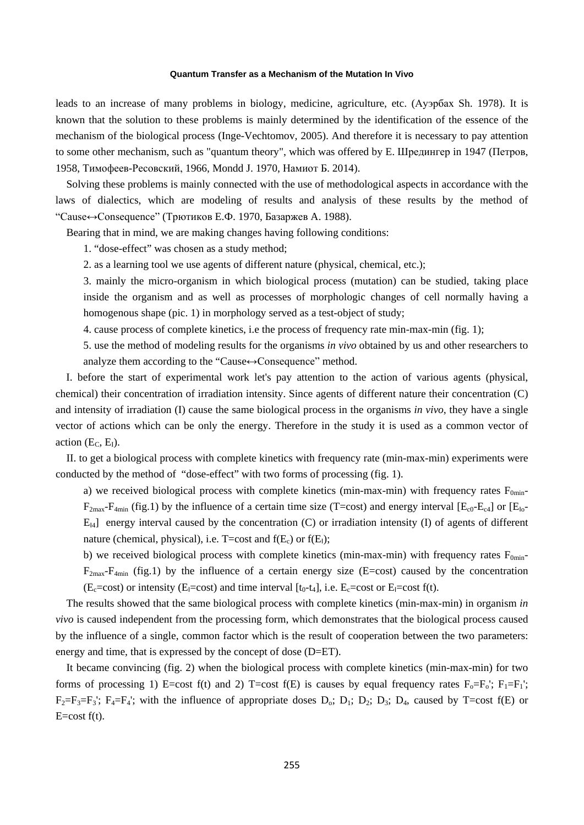leads to an increase of many problems in biology, medicine, agriculture, etc. (Ауэрбах Sh. 1978). It is known that the solution to these problems is mainly determined by the identification of the essence of the mechanism of the biological process (Inge-Vechtomov, 2005). And therefore it is necessary to pay attention to some other mechanism, such as "quantum theory", which was offered by E. Шредингер in 1947 (Петров, 1958, Тимофеев-Ресовский, 1966, Mondd J. 1970, Намиот Б. 2014).

Solving these problems is mainly connected with the use of methodological aspects in accordance with the laws of dialectics, which are modeling of results and analysis of these results by the method of "Cause↔Consequence" (Трютиков Е.Ф. 1970, Базаржев А. 1988).

Bearing that in mind, we are making changes having following conditions:

1. "dose-effect" was chosen as a study method;

2. as a learning tool we use agents of different nature (physical, chemical, etc.);

3. mainly the micro-organism in which biological process (mutation) can be studied, taking place inside the organism and as well as processes of morphologic changes of cell normally having a homogenous shape (pic. 1) in morphology served as a test-object of study;

4. cause process of complete kinetics, i.e the process of frequency rate min-max-min (fig. 1);

5. use the method of modeling results for the organisms *in vivo* obtained by us and other researchers to analyze them according to the "Cause↔Consequence" method.

I. before the start of experimental work let's pay attention to the action of various agents (physical, chemical) their concentration of irradiation intensity. Since agents of different nature their concentration (C) and intensity of irradiation (I) cause the same biological process in the organisms *in vivo*, they have a single vector of actions which can be only the energy. Therefore in the study it is used as a common vector of action  $(E_C, E_I)$ .

II. to get a biological process with complete kinetics with frequency rate (min-max-min) experiments were conducted by the method of "dose-effect" with two forms of processing (fig. 1).

a) we received biological process with complete kinetics (min-max-min) with frequency rates  $F_{0min}$ - $F_{2max}-F_{4min}$  (fig.1) by the influence of a certain time size (T=cost) and energy interval [ $E_{c0}-E_{c4}$ ] or [ $E_{10}-E_{c4}$ ]  $E_{14}$ ] energy interval caused by the concentration (C) or irradiation intensity (I) of agents of different nature (chemical, physical), i.e.  $T = \text{cost}$  and  $f(E_c)$  or  $f(E_l)$ ;

b) we received biological process with complete kinetics (min-max-min) with frequency rates  $F_{0min}$ - $F_{2max}-F_{4min}$  (fig.1) by the influence of a certain energy size (E=cost) caused by the concentration  $(E_c = cost)$  or intensity  $(E_l = cost)$  and time interval  $[t_0-t_4]$ , i.e.  $E_c = cost$  or  $E_l = cost$  f(t).

The results showed that the same biological process with complete kinetics (min-max-min) in organism *in vivo* is caused independent from the processing form, which demonstrates that the biological process caused by the influence of a single, common factor which is the result of cooperation between the two parameters: energy and time, that is expressed by the concept of dose (D=ET).

It became convincing (fig. 2) when the biological process with complete kinetics (min-max-min) for two forms of processing 1) E=cost f(t) and 2) T=cost f(E) is causes by equal frequency rates  $F_0 = F_0$ ;  $F_1 = F_1$ ;  $F_2=F_3=F_3$ ;  $F_4=F_4$ ; with the influence of appropriate doses  $D_0$ ;  $D_1$ ;  $D_2$ ;  $D_3$ ;  $D_4$ , caused by T=cost f(E) or  $E=cost f(t)$ .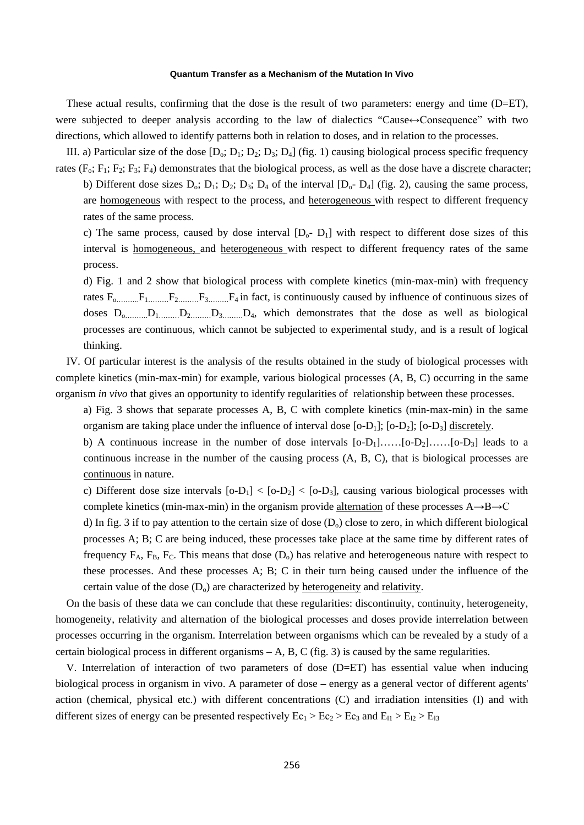These actual results, confirming that the dose is the result of two parameters: energy and time  $(D=ET)$ , were subjected to deeper analysis according to the law of dialectics "Cause↔Consequence" with two directions, which allowed to identify patterns both in relation to doses, and in relation to the processes.

III. a) Particular size of the dose  $[D_0; D_1; D_2; D_3; D_4]$  (fig. 1) causing biological process specific frequency rates ( $F_0$ ;  $F_1$ ;  $F_2$ ;  $F_3$ ;  $F_4$ ) demonstrates that the biological process, as well as the dose have a discrete character;

b) Different dose sizes  $D_0$ ;  $D_1$ ;  $D_2$ ;  $D_3$ ;  $D_4$  of the interval  $[D_0$ -  $D_4]$  (fig. 2), causing the same process, are homogeneous with respect to the process, and heterogeneous with respect to different frequency rates of the same process.

c) The same process, caused by dose interval  $[D_0, D_1]$  with respect to different dose sizes of this interval is homogeneous, and heterogeneous with respect to different frequency rates of the same process.

d) Fig. 1 and 2 show that biological process with complete kinetics (min-max-min) with frequency rates  $F_0$ <sub>………</sub> $F_1$ <sub>………</sub> $F_2$ <sub>………</sub> $F_3$ <sub>………</sub> $F_4$  in fact, is continuously caused by influence of continuous sizes of doses  $D_0$ <sub>………</sub> $D_1$ <sub>……</sub>…… $D_2$ <sub>……</sub>…… $D_3$ <sub>……</sub>…… D<sub>4</sub>, which demonstrates that the dose as well as biological processes are continuous, which cannot be subjected to experimental study, and is a result of logical thinking.

IV. Of particular interest is the analysis of the results obtained in the study of biological processes with complete kinetics (min-max-min) for example, various biological processes (A, B, C) occurring in the same organism *in vivo* that gives an opportunity to identify regularities of relationship between these processes.

a) Fig. 3 shows that separate processes A, B, C with complete kinetics (min-max-min) in the same organism are taking place under the influence of interval dose  $[0-D_1]$ ;  $[0-D_2]$ ;  $[0-D_3]$  discretely.

b) A continuous increase in the number of dose intervals  $[0-D_1]$ …… $[0-D_2]$ …… $[0-D_3]$  leads to a continuous increase in the number of the causing process (A, B, C), that is biological processes are continuous in nature.

c) Different dose size intervals  $[0-D_1] < [0-D_2] < [0-D_3]$ , causing various biological processes with complete kinetics (min-max-min) in the organism provide alternation of these processes A→B→C

d) In fig. 3 if to pay attention to the certain size of dose  $(D_0)$  close to zero, in which different biological processes A; B; C are being induced, these processes take place at the same time by different rates of frequency  $F_A$ ,  $F_B$ ,  $F_C$ . This means that dose  $(D_0)$  has relative and heterogeneous nature with respect to these processes. And these processes A; B; C in their turn being caused under the influence of the certain value of the dose  $(D_0)$  are characterized by heterogeneity and relativity.

On the basis of these data we can conclude that these regularities: discontinuity, continuity, heterogeneity, homogeneity, relativity and alternation of the biological processes and doses provide interrelation between processes occurring in the organism. Interrelation between organisms which can be revealed by a study of a certain biological process in different organisms  $-A$ , B, C (fig. 3) is caused by the same regularities.

V. Interrelation of interaction of two parameters of dose  $(D=ET)$  has essential value when inducing biological process in organism in vivo. A parameter of dose – energy as a general vector of different agents' action (chemical, physical etc.) with different concentrations (C) and irradiation intensities (I) and with different sizes of energy can be presented respectively  $Ec_1 > Ec_2 > Ec_3$  and  $E_{11} > E_{12} > E_{13}$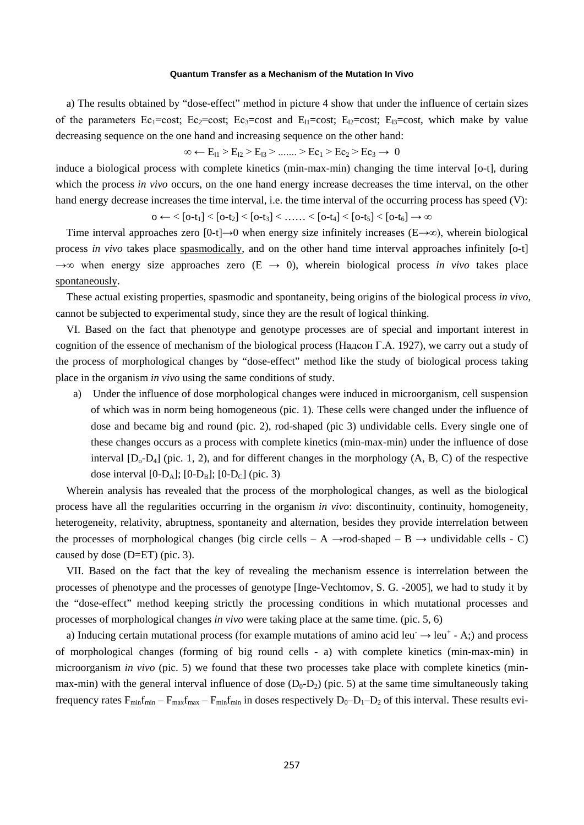a) The results obtained by "dose-effect" method in picture 4 show that under the influence of certain sizes of the parameters Ec<sub>1</sub>=cost; Ec<sub>2</sub>=cost; Ec<sub>3</sub>=cost and E<sub>11</sub>=cost; E<sub>12</sub>=cost; E<sub>13</sub>=cost, which make by value decreasing sequence on the one hand and increasing sequence on the other hand:

∞ ←  $E_{11}$  >  $E_{12}$  >  $E_{13}$  > ....... >  $Ec_1$  >  $Ec_2$  >  $Ec_3 \rightarrow 0$ 

induce a biological process with complete kinetics (min-max-min) changing the time interval [o-t], during which the process *in vivo* occurs, on the one hand energy increase decreases the time interval, on the other hand energy decrease increases the time interval, i.e. the time interval of the occurring process has speed (V):

 $0 \leftarrow$  < [0-t<sub>1</sub>] < [0-t<sub>2</sub>] < [0-t<sub>3</sub>] < …… < [0-t<sub>4</sub>] < [0-t<sub>5</sub>] < [0-t<sub>6</sub>] → ∞

Time interval approaches zero  $[0-t] \rightarrow 0$  when energy size infinitely increases  $(E \rightarrow \infty)$ , wherein biological process *in vivo* takes place spasmodically, and on the other hand time interval approaches infinitely [o-t] →∞ when energy size approaches zero (E → 0), wherein biological process *in vivo* takes place spontaneously.

These actual existing properties, spasmodic and spontaneity, being origins of the biological process *in vivo*, cannot be subjected to experimental study, since they are the result of logical thinking.

VI. Based on the fact that phenotype and genotype processes are of special and important interest in cognition of the essence of mechanism of the biological process (Надсон Г.A. 1927), we carry out a study of the process of morphological changes by "dose-effect" method like the study of biological process taking place in the organism *in vivo* using the same conditions of study.

a) Under the influence of dose morphological changes were induced in microorganism, cell suspension of which was in norm being homogeneous (pic. 1). These cells were changed under the influence of dose and became big and round (pic. 2), rod-shaped (pic 3) undividable cells. Every single one of these changes occurs as a process with complete kinetics (min-max-min) under the influence of dose interval  $[D_0-D_4]$  (pic. 1, 2), and for different changes in the morphology  $(A, B, C)$  of the respective dose interval  $[0-D_A]$ ;  $[0-D_B]$ ;  $[0-D_C]$  (pic. 3)

Wherein analysis has revealed that the process of the morphological changes, as well as the biological process have all the regularities occurring in the organism *in vivo*: discontinuity, continuity, homogeneity, heterogeneity, relativity, abruptness, spontaneity and alternation, besides they provide interrelation between the processes of morphological changes (big circle cells – A  $\rightarrow$ rod-shaped – B  $\rightarrow$  undividable cells - C) caused by dose (D=ET) (pic. 3).

VII. Based on the fact that the key of revealing the mechanism essence is interrelation between the processes of phenotype and the processes of genotype [Inge-Vechtomov, S. G. -2005], we had to study it by the "dose-effect" method keeping strictly the processing conditions in which mutational processes and processes of morphological changes *in vivo* were taking place at the same time. (pic. 5, 6)

a) Inducing certain mutational process (for example mutations of amino acid leu  $\rightarrow$  leu<sup>+</sup> - A;) and process of morphological changes (forming of big round cells - a) with complete kinetics (min-max-min) in microorganism *in vivo* (pic. 5) we found that these two processes take place with complete kinetics (minmax-min) with the general interval influence of dose  $(D_0-D_2)$  (pic. 5) at the same time simultaneously taking frequency rates  $F_{min}f_{min} - F_{max}f_{max} - F_{min}f_{min}$  in doses respectively  $D_0 - D_1 - D_2$  of this interval. These results evi-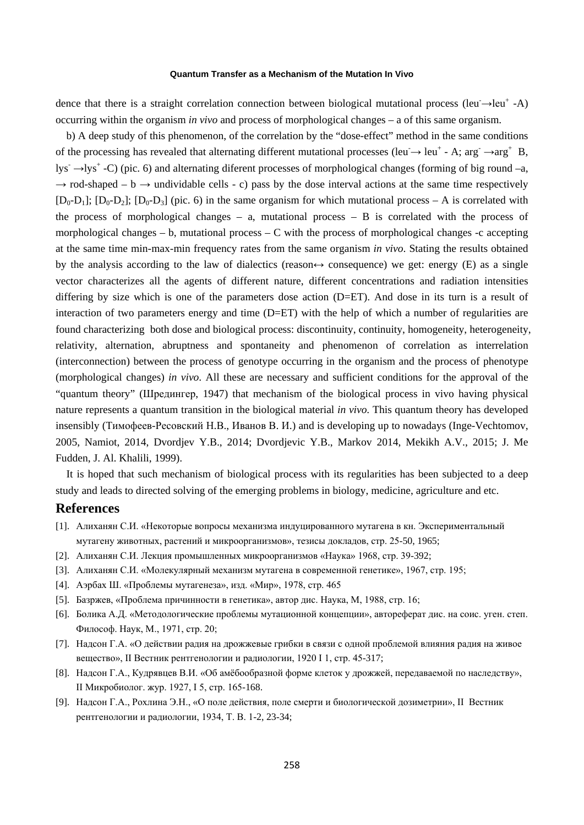dence that there is a straight correlation connection between biological mutational process (leu  $\rightarrow$ leu<sup>+</sup> -A) occurring within the organism *in vivo* and process of morphological changes – a of this same organism.

b) A deep study of this phenomenon, of the correlation by the "dose-effect" method in the same conditions of the processing has revealed that alternating different mutational processes (leu  $\rightarrow$  leu<sup>+</sup> - A; arg  $\rightarrow$ arg<sup>+</sup> B, lys<sup> $\rightarrow$ </sup>lys<sup>+</sup> -C) (pic. 6) and alternating diferent processes of morphological changes (forming of big round –a,  $\rightarrow$  rod-shaped – b  $\rightarrow$  undividable cells - c) pass by the dose interval actions at the same time respectively  $[D_0-D_1]$ ;  $[D_0-D_2]$ ;  $[D_0-D_3]$  (pic. 6) in the same organism for which mutational process – A is correlated with the process of morphological changes – a, mutational process – B is correlated with the process of morphological changes – b, mutational process – C with the process of morphological changes -c accepting at the same time min-max-min frequency rates from the same organism *in vivo*. Stating the results obtained by the analysis according to the law of dialectics (reason $\leftrightarrow$  consequence) we get: energy (E) as a single vector characterizes all the agents of different nature, different concentrations and radiation intensities differing by size which is one of the parameters dose action  $(D=ET)$ . And dose in its turn is a result of interaction of two parameters energy and time  $(D=ET)$  with the help of which a number of regularities are found characterizing both dose and biological process: discontinuity, continuity, homogeneity, heterogeneity, relativity, alternation, abruptness and spontaneity and phenomenon of correlation as interrelation (interconnection) between the process of genotype occurring in the organism and the process of phenotype (morphological changes) *in vivo*. All these are necessary and sufficient conditions for the approval of the "quantum theory" (Шредингер, 1947) that mechanism of the biological process in vivo having physical nature represents a quantum transition in the biological material *in vivo*. This quantum theory has developed insensibly (Тимофеев-Ресовский Н.В., Иванов В. И.) and is developing up to nowadays (Inge-Vechtomov, 2005, Namiot, 2014, Dvordjev Y.B., 2014; Dvordjevic Y.B., Markov 2014, Mekikh A.V., 2015; J. Me Fudden, J. Al. Khalili, 1999).

It is hoped that such mechanism of biological process with its regularities has been subjected to a deep study and leads to directed solving of the emerging problems in biology, medicine, agriculture and etc.

## **References**

- [1]. Алиханян С.И. «Некоторые вопросы механизма индуцированного мутагена в кн. Экспериментальный мутагену животных, растений и микроорганизмов», тезисы докладов, стр. 25-50, 1965;
- [2]. Алиханян С.И. Лекция промышленных микроорганизмов «Наука» 1968, стр. 39-392;
- [3]. Алиханян С.И. «Молекулярный механизм мутагена в современной генетике», 1967, стр. 195;
- [4]. Аэрбах Ш. «Проблемы мутагенеза», изд. «Мир», 1978, стр. 465
- [5]. Базржев, «Проблема причинности в генетика», автор дис. Наука, М, 1988, стр. 16;
- [6]. Болика А.Д. «Методологические проблемы мутационной концепции», автореферат дис. на соис. уген. степ. Философ. Наук, М., 1971, стр. 20;
- [7]. Надсон Г.А. «О действии радия на дрожжевые грибки в связи с одной проблемой влияния радия на живое вещество», II Вестник рентгенологии и радиологии, 1920 I 1, стр. 45-317;
- [8]. Надсон Г.А., Кудрявцев В.И. «Об амёбообразной форме клеток у дрожжей, передаваемой по наследству», II Микробиолог. жур. 1927, I 5, стр. 165-168.
- [9]. Надсон Г.А., Рохлина Э.Н., «О поле действия, поле смерти и биологической дозиметрии», II Вестник рентгенологии и радиологии, 1934, Т. В. 1-2, 23-34;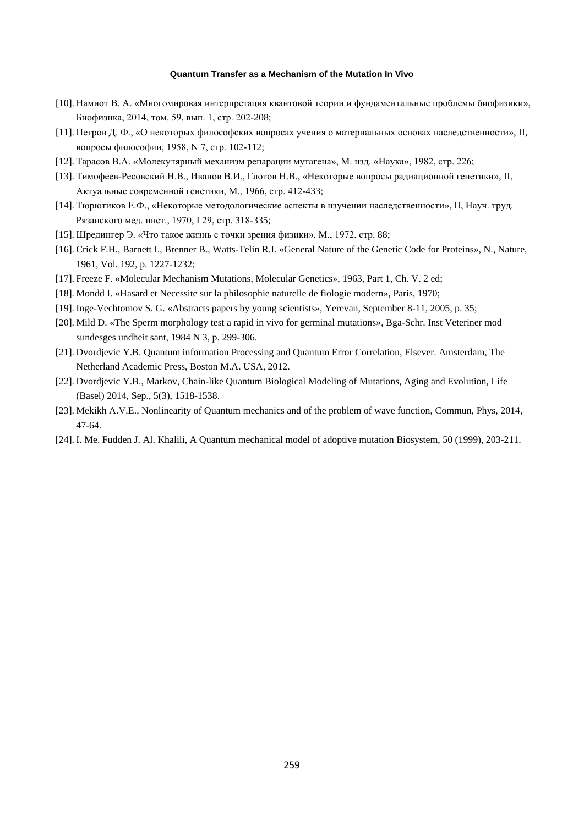- [10]. Намиот В. А. «Многомировая интерпретация квантовой теории и фундаментальные проблемы биофизики», Биофизика, 2014, том. 59, вып. 1, стр. 202-208;
- [11]. Петров Д. Ф., «О некоторых философских вопросах учения о материальных основах наследственности», II, вопросы философии, 1958, N 7, стр. 102-112;
- [12]. Тарасов В.А. «Молекулярный механизм репарации мутагена», М. изд. «Наука», 1982, стр. 226;
- [13]. Тимофеев-Ресовский Н.В., Иванов В.И., Глотов Н.В., «Некоторые вопросы радиационной генетики», II, Актуальные современной генетики, М., 1966, стр. 412-433;
- [14]. Тюрютиков Е.Ф., «Некоторые методологические аспекты в изучении наследственности», II, Науч. труд. Рязанского мед. инст., 1970, I 29, стр. 318-335;
- [15]. Шредингер Э. «Что такое жизнь с точки зрения физики», М., 1972, стр. 88;
- [16]. Crick F.H., Barnett I., Brenner B., Watts-Telin R.I. «General Nature of the Genetic Code for Proteins», N., Nature, 1961, Vol. 192, p. 1227-1232;
- [17]. Freeze F. «Molecular Mechanism Mutations, Molecular Genetics», 1963, Part 1, Ch. V. 2 ed;
- [18]. Mondd I. «Hasard et Necessite sur la philosophie naturelle de fiologie modern», Paris, 1970;
- [19]. Inge-Vechtomov S. G. «Abstracts papers by young scientists», Yerevan, September 8-11, 2005, p. 35;
- [20]. Mild D. «The Sperm morphology test a rapid in vivo for germinal mutations», Bga-Schr. Inst Veteriner mod sundesges undheit sant, 1984 N 3, p. 299-306.
- [21]. Dvordjevic Y.B. Quantum information Processing and Quantum Error Correlation, Elsever. Amsterdam, The Netherland Academic Press, Boston M.A. USA, 2012.
- [22]. Dvordjevic Y.B., Markov, Chain-like Quantum Biological Modeling of Mutations, Aging and Evolution, Life (Basel) 2014, Sep., 5(3), 1518-1538.
- [23]. Mekikh A.V.E., Nonlinearity of Quantum mechanics and of the problem of wave function, Commun, Phys, 2014, 47-64.
- [24]. I. Me. Fudden J. Al. Khalili, A Quantum mechanical model of adoptive mutation Biosystem, 50 (1999), 203-211.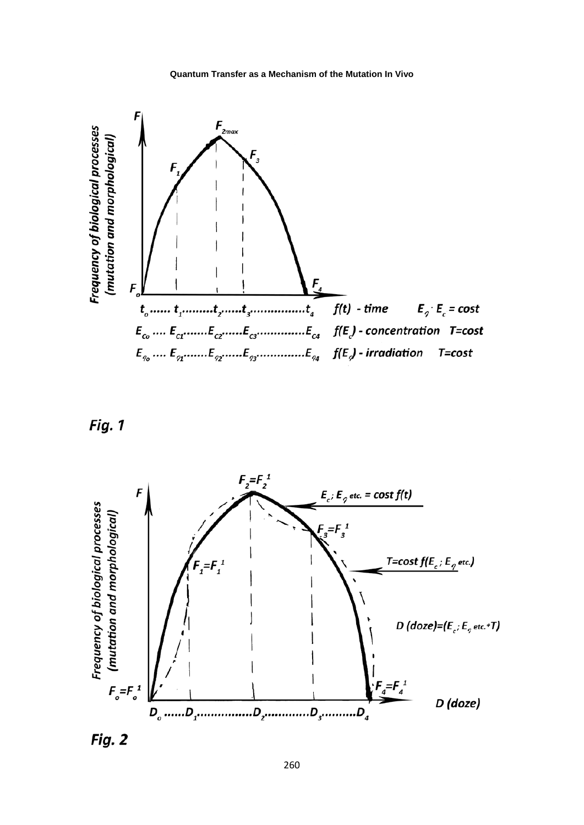





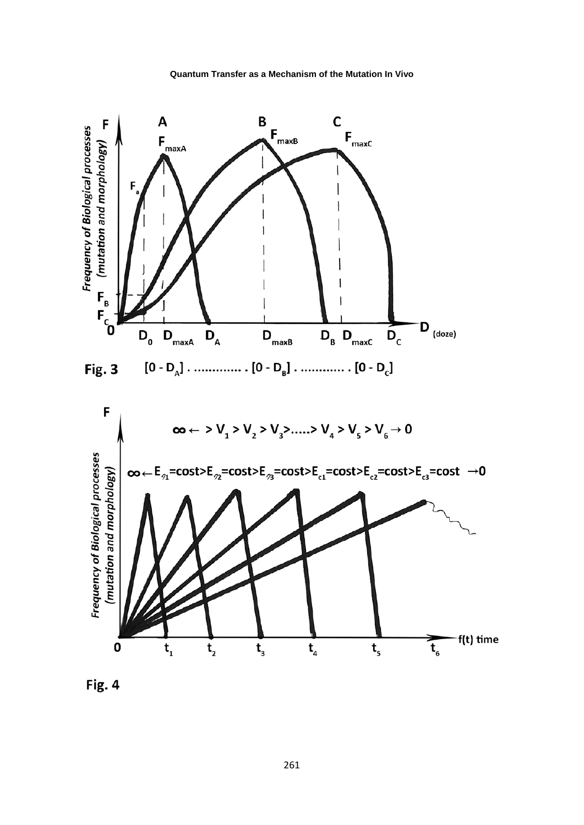

![](_page_7_Figure_2.jpeg)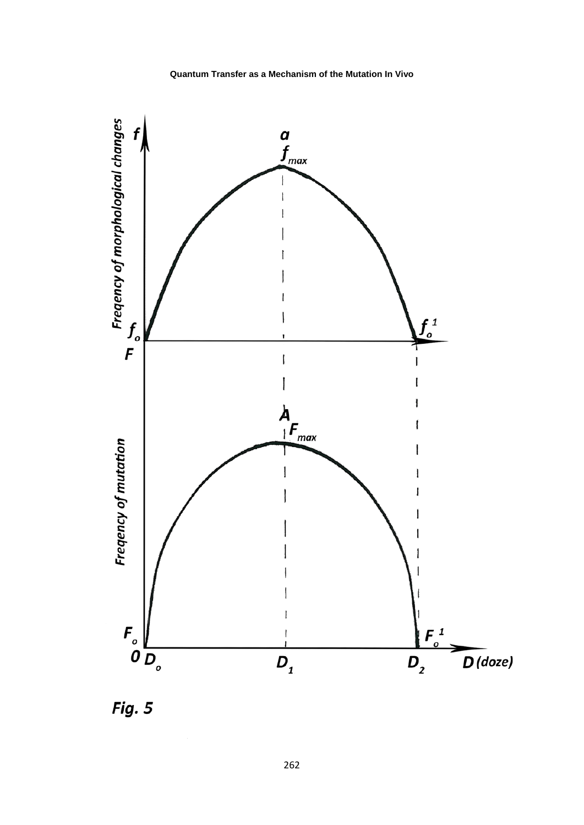![](_page_8_Figure_1.jpeg)

Fig. 5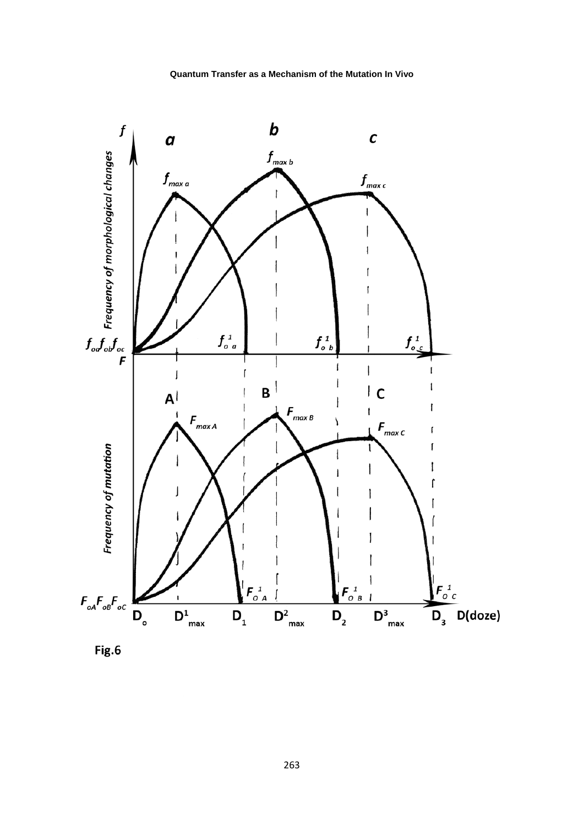![](_page_9_Figure_0.jpeg)

![](_page_9_Figure_1.jpeg)

![](_page_9_Figure_2.jpeg)